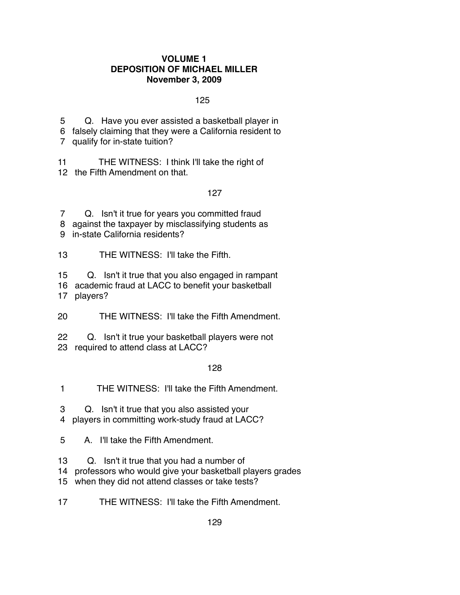#### **VOLUME 1 DEPOSITION OF MICHAEL MILLER November 3, 2009**

#### $125$

 5 Q. Have you ever assisted a basketball player in 6 falsely claiming that they were a California resident to 7 qualify for in-state tuition?

11 THE WITNESS: I think I'll take the right of 12 the Fifth Amendment on that.

## 127 (127 - 127 - 127 - 127 - 127 - 127 - 127 - 127 - 127 - 127 - 127 - 127 - 127 - 127 - 127 - 127 - 127 - 12

 7 Q. Isn't it true for years you committed fraud 8 against the taxpayer by misclassifying students as 9 in-state California residents?

13 THE WITNESS: I'll take the Fifth.

15 Q. Isn't it true that you also engaged in rampant

16 academic fraud at LACC to benefit your basketball

17 players?

20 THE WITNESS: I'll take the Fifth Amendment.

22 Q. Isn't it true your basketball players were not 23 required to attend class at LACC?

## 128 - Paul Barnett, actrice and a 128

1 THE WITNESS: I'll take the Fifth Amendment.

 3 Q. Isn't it true that you also assisted your 4 players in committing work-study fraud at LACC?

5 A. I'll take the Fifth Amendment.

13 Q. Isn't it true that you had a number of

14 professors who would give your basketball players grades

15 when they did not attend classes or take tests?

17 THE WITNESS: I'll take the Fifth Amendment.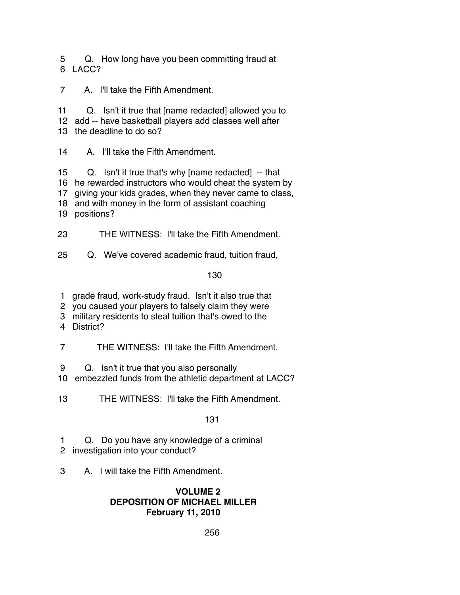5 Q. How long have you been committing fraud at 6 LACC?

7 A. I'll take the Fifth Amendment.

11 Q. Isn't it true that [name redacted] allowed you to

12 add -- have basketball players add classes well after

13 the deadline to do so?

14 A. I'll take the Fifth Amendment.

15 Q. Isn't it true that's why [name redacted] -- that

16 he rewarded instructors who would cheat the system by

17 giving your kids grades, when they never came to class,

18 and with money in the form of assistant coaching

19 positions?

23 THE WITNESS: I'll take the Fifth Amendment.

25 Q. We've covered academic fraud, tuition fraud,

130 and 130

1 grade fraud, work-study fraud. Isn't it also true that

2 you caused your players to falsely claim they were

3 military residents to steal tuition that's owed to the

4 District?

7 THE WITNESS: I'll take the Fifth Amendment.

9 Q. Isn't it true that you also personally

10 embezzled funds from the athletic department at LACC?

13 THE WITNESS: I'll take the Fifth Amendment.

131

 1 Q. Do you have any knowledge of a criminal 2 investigation into your conduct?

3 A. I will take the Fifth Amendment.

# **VOLUME 2 DEPOSITION OF MICHAEL MILLER February 11, 2010**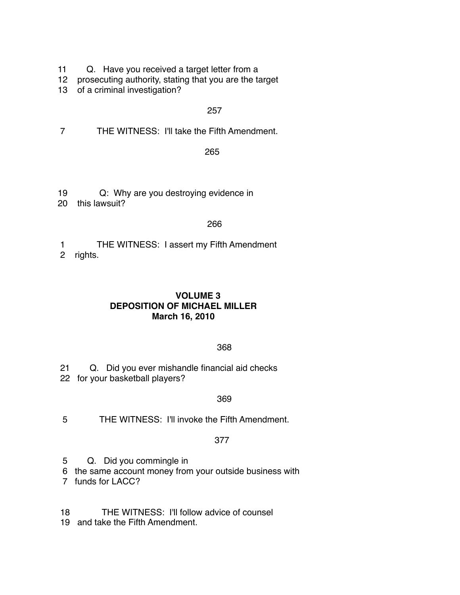- 11 Q. Have you received a target letter from a
- 12 prosecuting authority, stating that you are the target
- 13 of a criminal investigation?

## 257

7 THE WITNESS: I'll take the Fifth Amendment.

<u>265 - John Stein, Amerikan besteckt (</u>

19 Q: Why are you destroying evidence in

20 this lawsuit?

#### <u>266 میں اس کا 1988 میں اس کا 1988 میں اس کا 1988 میں اس کا 1988 میں اس</u>

- 1 THE WITNESS: I assert my Fifth Amendment
- 2 rights.

## **VOLUME 3 DEPOSITION OF MICHAEL MILLER March 16, 2010**

# <u>368 - John Stein, Amerikaansk politiker (</u>

 21 Q. Did you ever mishandle financial aid checks 22 for your basketball players?

# <u>369 and the state of the state of the state of the state of the state of the state of the state of the state o</u>

5 THE WITNESS: I'll invoke the Fifth Amendment.

## 377

5 Q. Did you commingle in

6 the same account money from your outside business with

7 funds for LACC?

- 18 THE WITNESS: I'll follow advice of counsel
- 19 and take the Fifth Amendment.